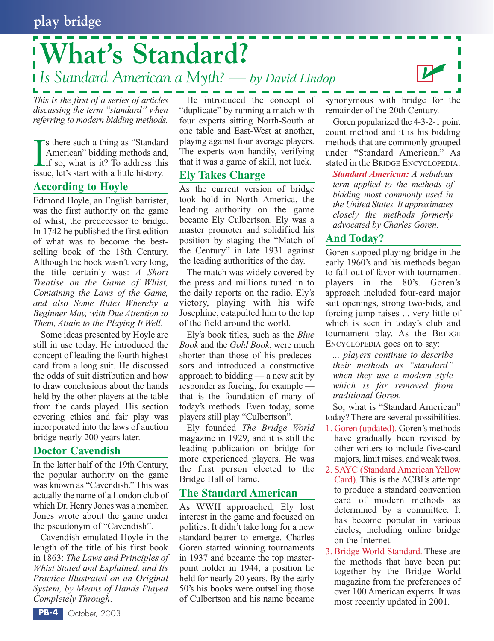# **What's Standard?** *Is Standard American a Myth? — by David Lindop*

*This is the first of a series of articles discussing the term "standard" when referring to modern bidding methods.*

**IS** sthere such a thing as "Standard American" bidding methods and if so, what is it? To address this issue, let's start with a little history. s there such a thing as "Standard American" bidding methods and, if so, what is it? To address this

#### **According to Hoyle**

Edmond Hoyle, an English barrister, was the first authority on the game of whist, the predecessor to bridge. In 1742 he published the first edition of what was to become the bestselling book of the 18th Century. Although the book wasn't very long, the title certainly was: *A Short Treatise on the Game of Whist, Containing the Laws of the Game, and also Some Rules Whereby a Beginner May, with Due Attention to Them, Attain to the Playing It Well*.

Some ideas presented by Hoyle are still in use today. He introduced the concept of leading the fourth highest card from a long suit. He discussed the odds of suit distribution and how to draw conclusions about the hands held by the other players at the table from the cards played. His section covering ethics and fair play was incorporated into the laws of auction bridge nearly 200 years later.

### **Doctor Cavendish**

In the latter half of the 19th Century, the popular authority on the game was known as "Cavendish." This was actually the name of a London club of which Dr. Henry Jones was a member. Jones wrote about the game under the pseudonym of "Cavendish".

Cavendish emulated Hoyle in the length of the title of his first book in 1863: *The Laws and Principles of Whist Stated and Explained, and Its Practice Illustrated on an Original System, by Means of Hands Played Completely Through*.

He introduced the concept of "duplicate" by running a match with four experts sitting North-South at one table and East-West at another, playing against four average players. The experts won handily, verifying that it was a game of skill, not luck.

#### **Ely Takes Charge**

As the current version of bridge took hold in North America, the leading authority on the game became Ely Culbertson. Ely was a master promoter and solidified his position by staging the "Match of the Century" in late 1931 against the leading authorities of the day.

The match was widely covered by the press and millions tuned in to the daily reports on the radio. Ely's victory, playing with his wife Josephine, catapulted him to the top of the field around the world.

Ely's book titles, such as the *Blue Book* and the *Gold Book*, were much shorter than those of his predecessors and introduced a constructive approach to bidding — a new suit by responder as forcing, for example that is the foundation of many of today's methods. Even today, some players still play "Culbertson".

Ely founded *The Bridge World* magazine in 1929, and it is still the leading publication on bridge for more experienced players. He was the first person elected to the Bridge Hall of Fame.

### **The Standard American**

As WWII approached, Ely lost interest in the game and focused on politics. It didn't take long for a new standard-bearer to emerge. Charles Goren started winning tournaments in 1937 and became the top masterpoint holder in 1944, a position he held for nearly 20 years. By the early 50's his books were outselling those of Culbertson and his name became synonymous with bridge for the remainder of the 20th Century.

 $\mathbf{Z}$ 

Goren popularized the 4-3-2-1 point count method and it is his bidding methods that are commonly grouped under "Standard American." As stated in the BRIDGE ENCYCLOPEDIA:

*Standard American: A nebulous term applied to the methods of bidding most commonly used in the United States. It approximates closely the methods formerly advocated by Charles Goren.*

## **And Today?**

Goren stopped playing bridge in the early 1960's and his methods began to fall out of favor with tournament players in the 80's. Goren's approach included four-card major suit openings, strong two-bids, and forcing jump raises ... very little of which is seen in today's club and tournament play. As the BRIDGE ENCYCLOPEDIA goes on to say:

*... players continue to describe their methods as "standard" when they use a modern style which is far removed from traditional Goren.*

So, what is "Standard American" today? There are several possibilities.

- 1. Goren (updated). Goren's methods have gradually been revised by other writers to include five-card majors, limit raises, and weak twos.
- 2. SAYC (Standard American Yellow Card). This is the ACBL's attempt to produce a standard convention card of modern methods as determined by a committee. It has become popular in various circles, including online bridge on the Internet.
- 3. Bridge World Standard. These are the methods that have been put together by the Bridge World magazine from the preferences of over 100 American experts. It was most recently updated in 2001.